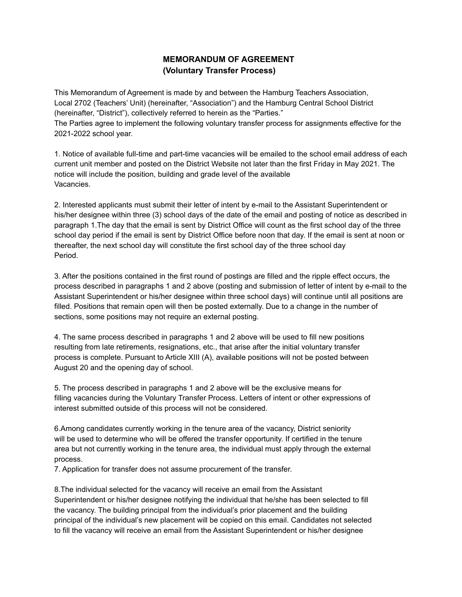## **MEMORANDUM OF AGREEMENT (Voluntary Transfer Process)**

This Memorandum of Agreement is made by and between the Hamburg Teachers Association, Local 2702 (Teachers' Unit) (hereinafter, "Association") and the Hamburg Central School District (hereinafter, "District"), collectively referred to herein as the "Parties." The Parties agree to implement the following voluntary transfer process for assignments effective for the 2021-2022 school year.

1. Notice of available full-time and part-time vacancies will be emailed to the school email address of each current unit member and posted on the District Website not later than the first Friday in May 2021. The notice will include the position, building and grade level of the available Vacancies.

2. Interested applicants must submit their letter of intent by e-mail to the Assistant Superintendent or his/her designee within three (3) school days of the date of the email and posting of notice as described in paragraph 1.The day that the email is sent by District Office will count as the first school day of the three school day period if the email is sent by District Office before noon that day. If the email is sent at noon or thereafter, the next school day will constitute the first school day of the three school day Period.

3. After the positions contained in the first round of postings are filled and the ripple effect occurs, the process described in paragraphs 1 and 2 above (posting and submission of letter of intent by e-mail to the Assistant Superintendent or his/her designee within three school days) will continue until all positions are filled. Positions that remain open will then be posted externally. Due to a change in the number of sections, some positions may not require an external posting.

4. The same process described in paragraphs 1 and 2 above will be used to fill new positions resulting from late retirements, resignations, etc., that arise after the initial voluntary transfer process is complete. Pursuant to Article XIII (A), available positions will not be posted between August 20 and the opening day of school.

5. The process described in paragraphs 1 and 2 above will be the exclusive means for filling vacancies during the Voluntary Transfer Process. Letters of intent or other expressions of interest submitted outside of this process will not be considered.

6.Among candidates currently working in the tenure area of the vacancy, District seniority will be used to determine who will be offered the transfer opportunity. If certified in the tenure area but not currently working in the tenure area, the individual must apply through the external process.

7. Application for transfer does not assume procurement of the transfer.

8.The individual selected for the vacancy will receive an email from the Assistant Superintendent or his/her designee notifying the individual that he/she has been selected to fill the vacancy. The building principal from the individual's prior placement and the building principal of the individual's new placement will be copied on this email. Candidates not selected to fill the vacancy will receive an email from the Assistant Superintendent or his/her designee